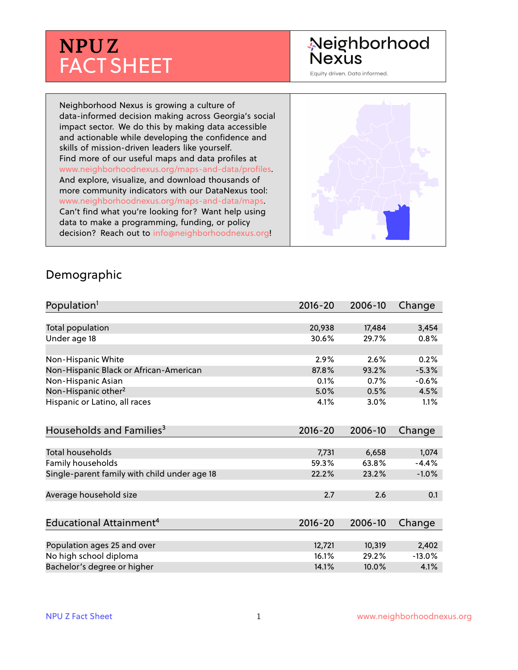# **NPU Z** FACT SHEET

## Neighborhood **Nexus**

Equity driven. Data informed.

Neighborhood Nexus is growing a culture of data-informed decision making across Georgia's social impact sector. We do this by making data accessible and actionable while developing the confidence and skills of mission-driven leaders like yourself. Find more of our useful maps and data profiles at www.neighborhoodnexus.org/maps-and-data/profiles. And explore, visualize, and download thousands of more community indicators with our DataNexus tool: www.neighborhoodnexus.org/maps-and-data/maps. Can't find what you're looking for? Want help using data to make a programming, funding, or policy decision? Reach out to [info@neighborhoodnexus.org!](mailto:info@neighborhoodnexus.org)



#### Demographic

| Population <sup>1</sup>                      | $2016 - 20$ | 2006-10 | Change   |
|----------------------------------------------|-------------|---------|----------|
|                                              |             |         |          |
| Total population                             | 20,938      | 17,484  | 3,454    |
| Under age 18                                 | 30.6%       | 29.7%   | 0.8%     |
|                                              |             |         |          |
| Non-Hispanic White                           | 2.9%        | 2.6%    | 0.2%     |
| Non-Hispanic Black or African-American       | 87.8%       | 93.2%   | $-5.3%$  |
| Non-Hispanic Asian                           | 0.1%        | 0.7%    | $-0.6%$  |
| Non-Hispanic other <sup>2</sup>              | 5.0%        | 0.5%    | 4.5%     |
| Hispanic or Latino, all races                | 4.1%        | 3.0%    | 1.1%     |
|                                              |             |         |          |
| Households and Families <sup>3</sup>         | $2016 - 20$ | 2006-10 | Change   |
|                                              |             |         |          |
| <b>Total households</b>                      | 7,731       | 6,658   | 1,074    |
| Family households                            | 59.3%       | 63.8%   | $-4.4%$  |
| Single-parent family with child under age 18 | 22.2%       | 23.2%   | $-1.0%$  |
|                                              |             |         |          |
| Average household size                       | 2.7         | 2.6     | 0.1      |
|                                              |             |         |          |
| Educational Attainment <sup>4</sup>          | $2016 - 20$ | 2006-10 | Change   |
|                                              |             |         |          |
| Population ages 25 and over                  | 12,721      | 10,319  | 2,402    |
| No high school diploma                       | 16.1%       | 29.2%   | $-13.0%$ |
| Bachelor's degree or higher                  | 14.1%       | 10.0%   | 4.1%     |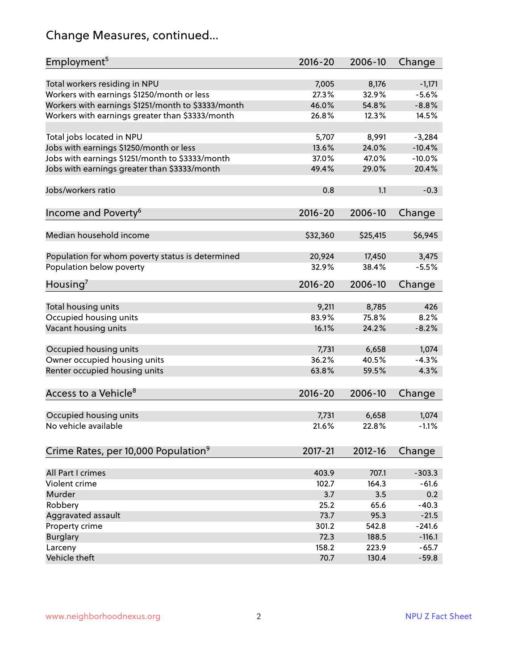## Change Measures, continued...

| Employment <sup>5</sup>                            | $2016 - 20$ | 2006-10     | Change   |
|----------------------------------------------------|-------------|-------------|----------|
|                                                    |             |             |          |
| Total workers residing in NPU                      | 7,005       | 8,176       | $-1,171$ |
| Workers with earnings \$1250/month or less         | 27.3%       | 32.9%       | $-5.6%$  |
| Workers with earnings \$1251/month to \$3333/month | 46.0%       | 54.8%       | $-8.8%$  |
| Workers with earnings greater than \$3333/month    | 26.8%       | 12.3%       | 14.5%    |
| Total jobs located in NPU                          | 5,707       | 8,991       | $-3,284$ |
| Jobs with earnings \$1250/month or less            | 13.6%       | 24.0%       | $-10.4%$ |
| Jobs with earnings \$1251/month to \$3333/month    | 37.0%       | 47.0%       | $-10.0%$ |
|                                                    |             |             |          |
| Jobs with earnings greater than \$3333/month       | 49.4%       | 29.0%       | 20.4%    |
| Jobs/workers ratio                                 | 0.8         | 1.1         | $-0.3$   |
|                                                    | $2016 - 20$ | 2006-10     | Change   |
| Income and Poverty <sup>6</sup>                    |             |             |          |
| Median household income                            | \$32,360    | \$25,415    | \$6,945  |
|                                                    |             |             |          |
| Population for whom poverty status is determined   | 20,924      | 17,450      | 3,475    |
| Population below poverty                           | 32.9%       | 38.4%       | $-5.5%$  |
| Housing <sup>7</sup>                               | 2016-20     | 2006-10     | Change   |
|                                                    |             |             |          |
| Total housing units                                | 9,211       | 8,785       | 426      |
| Occupied housing units                             | 83.9%       | 75.8%       | 8.2%     |
| Vacant housing units                               | 16.1%       | 24.2%       | $-8.2%$  |
|                                                    |             |             |          |
| Occupied housing units                             | 7,731       | 6,658       | 1,074    |
| Owner occupied housing units                       | 36.2%       | 40.5%       | $-4.3%$  |
| Renter occupied housing units                      | 63.8%       | 59.5%       | 4.3%     |
| Access to a Vehicle <sup>8</sup>                   | $2016 - 20$ | 2006-10     | Change   |
|                                                    |             |             |          |
| Occupied housing units                             | 7,731       | 6,658       | 1,074    |
| No vehicle available                               | 21.6%       | 22.8%       | $-1.1%$  |
|                                                    |             |             |          |
| Crime Rates, per 10,000 Population <sup>9</sup>    | 2017-21     | $2012 - 16$ | Change   |
|                                                    |             |             |          |
| All Part I crimes                                  | 403.9       | 707.1       | $-303.3$ |
| Violent crime                                      | 102.7       | 164.3       | $-61.6$  |
| Murder                                             | 3.7         | 3.5         | 0.2      |
| Robbery                                            | 25.2        | 65.6        | $-40.3$  |
| Aggravated assault                                 | 73.7        | 95.3        | $-21.5$  |
| Property crime                                     | 301.2       | 542.8       | $-241.6$ |
| <b>Burglary</b>                                    | 72.3        | 188.5       | $-116.1$ |
| Larceny                                            | 158.2       | 223.9       | $-65.7$  |
| Vehicle theft                                      | 70.7        | 130.4       | $-59.8$  |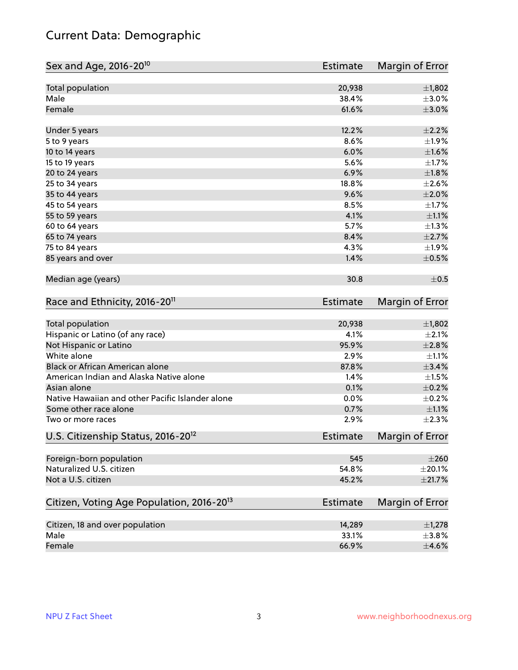## Current Data: Demographic

| Sex and Age, 2016-20 <sup>10</sup>                    | Estimate        | Margin of Error        |
|-------------------------------------------------------|-----------------|------------------------|
| Total population                                      | 20,938          | $\pm$ 1,802            |
| Male                                                  | 38.4%           | $\pm 3.0\%$            |
| Female                                                | 61.6%           | $\pm 3.0\%$            |
| Under 5 years                                         | 12.2%           | $\pm 2.2\%$            |
| 5 to 9 years                                          | 8.6%            | ±1.9%                  |
| 10 to 14 years                                        | 6.0%            | $\pm1.6\%$             |
| 15 to 19 years                                        | 5.6%            | $\pm 1.7\%$            |
| 20 to 24 years                                        | 6.9%            | $\pm1.8\%$             |
| 25 to 34 years                                        | 18.8%           | $\pm 2.6\%$            |
| 35 to 44 years                                        | 9.6%            | $\pm 2.0\%$            |
| 45 to 54 years                                        | 8.5%            | $\pm 1.7\%$            |
| 55 to 59 years                                        | 4.1%            | $\pm 1.1\%$            |
| 60 to 64 years                                        | 5.7%            | $\pm 1.3\%$            |
| 65 to 74 years                                        | 8.4%            | $\pm 2.7\%$            |
| 75 to 84 years                                        | 4.3%            | ±1.9%                  |
| 85 years and over                                     | 1.4%            | $\pm$ 0.5%             |
| Median age (years)                                    | 30.8            | $\pm$ 0.5              |
| Race and Ethnicity, 2016-20 <sup>11</sup>             | <b>Estimate</b> | Margin of Error        |
| Total population                                      | 20,938          | ±1,802                 |
| Hispanic or Latino (of any race)                      | 4.1%            | $\pm 2.1\%$            |
| Not Hispanic or Latino                                | 95.9%           | ±2.8%                  |
| White alone                                           | 2.9%            | $\pm 1.1\%$            |
| Black or African American alone                       | 87.8%           | ±3.4%                  |
| American Indian and Alaska Native alone               | 1.4%            | $\pm 1.5\%$            |
| Asian alone                                           | 0.1%            | $\pm$ 0.2%             |
| Native Hawaiian and other Pacific Islander alone      | 0.0%            | $\pm$ 0.2%             |
| Some other race alone                                 | 0.7%            | $\pm 1.1\%$            |
| Two or more races                                     | 2.9%            | $\pm 2.3\%$            |
| U.S. Citizenship Status, 2016-20 <sup>12</sup>        | <b>Estimate</b> | <b>Margin of Error</b> |
| Foreign-born population                               | 545             | $\pm 260$              |
| Naturalized U.S. citizen                              | 54.8%           | $\pm 20.1\%$           |
| Not a U.S. citizen                                    | 45.2%           | $\pm 21.7\%$           |
| Citizen, Voting Age Population, 2016-20 <sup>13</sup> | <b>Estimate</b> | Margin of Error        |
| Citizen, 18 and over population                       | 14,289          | $\pm$ 1,278            |
| Male                                                  | 33.1%           | $\pm$ 3.8%             |
| Female                                                | 66.9%           | $\pm 4.6\%$            |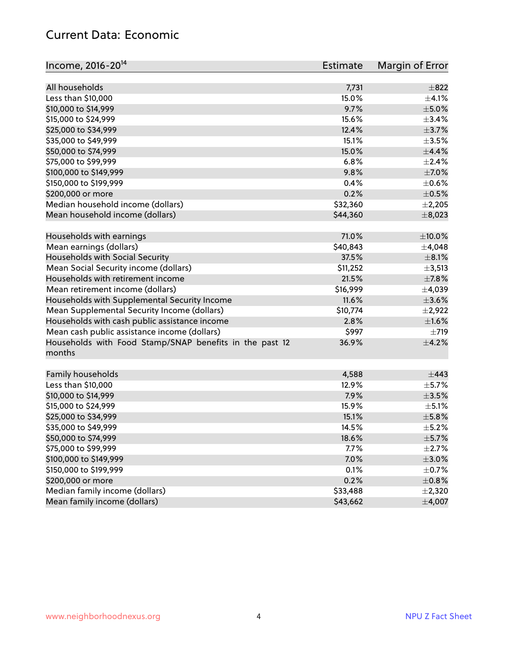#### Current Data: Economic

| Income, 2016-20 <sup>14</sup>                                     | Estimate | Margin of Error |
|-------------------------------------------------------------------|----------|-----------------|
| All households                                                    | 7,731    | $\pm$ 822       |
| Less than \$10,000                                                | 15.0%    | $\pm$ 4.1%      |
| \$10,000 to \$14,999                                              | 9.7%     | $\pm$ 5.0%      |
| \$15,000 to \$24,999                                              | 15.6%    | ±3.4%           |
| \$25,000 to \$34,999                                              | 12.4%    | $\pm$ 3.7%      |
|                                                                   |          |                 |
| \$35,000 to \$49,999                                              | 15.1%    | $\pm 3.5\%$     |
| \$50,000 to \$74,999                                              | 15.0%    | $\pm$ 4.4%      |
| \$75,000 to \$99,999                                              | 6.8%     | $\pm 2.4\%$     |
| \$100,000 to \$149,999                                            | 9.8%     | $\pm$ 7.0%      |
| \$150,000 to \$199,999                                            | 0.4%     | $\pm$ 0.6%      |
| \$200,000 or more                                                 | 0.2%     | $\pm$ 0.5%      |
| Median household income (dollars)                                 | \$32,360 | $\pm 2,205$     |
| Mean household income (dollars)                                   | \$44,360 | $\pm$ 8,023     |
| Households with earnings                                          | 71.0%    | $\pm$ 10.0%     |
| Mean earnings (dollars)                                           | \$40,843 | $\pm$ 4,048     |
| Households with Social Security                                   | 37.5%    | $\pm$ 8.1%      |
| Mean Social Security income (dollars)                             | \$11,252 | $\pm$ 3,513     |
| Households with retirement income                                 | 21.5%    | $\pm$ 7.8%      |
| Mean retirement income (dollars)                                  | \$16,999 | ±4,039          |
| Households with Supplemental Security Income                      | 11.6%    | $\pm$ 3.6%      |
| Mean Supplemental Security Income (dollars)                       | \$10,774 | $\pm 2,922$     |
| Households with cash public assistance income                     | 2.8%     | $\pm1.6\%$      |
| Mean cash public assistance income (dollars)                      | \$997    | $\pm 719$       |
| Households with Food Stamp/SNAP benefits in the past 12<br>months | 36.9%    | $\pm 4.2\%$     |
| Family households                                                 | 4,588    | $\pm$ 443       |
| Less than \$10,000                                                | 12.9%    | $\pm$ 5.7%      |
| \$10,000 to \$14,999                                              | 7.9%     | $\pm 3.5\%$     |
| \$15,000 to \$24,999                                              | 15.9%    | $\pm$ 5.1%      |
| \$25,000 to \$34,999                                              | 15.1%    | $\pm$ 5.8%      |
| \$35,000 to \$49,999                                              | 14.5%    | $\pm$ 5.2%      |
| \$50,000 to \$74,999                                              | 18.6%    | $\pm$ 5.7%      |
| \$75,000 to \$99,999                                              | 7.7%     | $\pm$ 2.7%      |
| \$100,000 to \$149,999                                            | 7.0%     | $\pm 3.0\%$     |
| \$150,000 to \$199,999                                            | 0.1%     | $\pm$ 0.7%      |
| \$200,000 or more                                                 | 0.2%     | $\pm$ 0.8%      |
| Median family income (dollars)                                    | \$33,488 | ±2,320          |
| Mean family income (dollars)                                      | \$43,662 | ±4,007          |
|                                                                   |          |                 |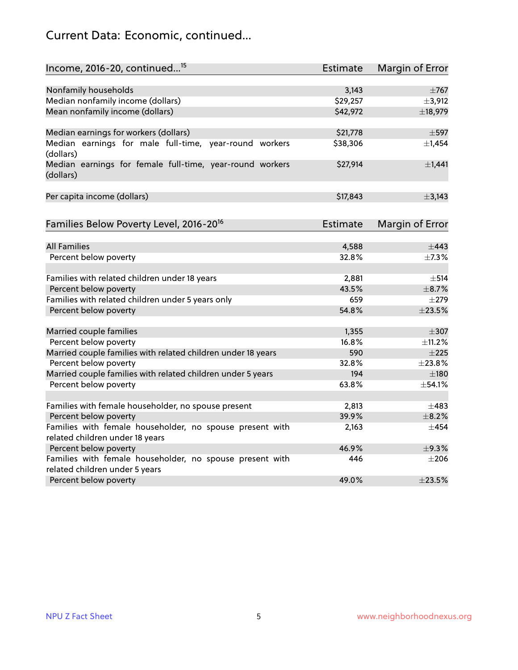## Current Data: Economic, continued...

| Income, 2016-20, continued <sup>15</sup>                              | Estimate | Margin of Error        |
|-----------------------------------------------------------------------|----------|------------------------|
|                                                                       |          |                        |
| Nonfamily households                                                  | 3,143    | $\pm 767$              |
| Median nonfamily income (dollars)                                     | \$29,257 | ±3,912                 |
| Mean nonfamily income (dollars)                                       | \$42,972 | ±18,979                |
| Median earnings for workers (dollars)                                 | \$21,778 | $\pm$ 597              |
| Median earnings for male full-time, year-round workers                | \$38,306 | ±1,454                 |
| (dollars)                                                             |          |                        |
| Median earnings for female full-time, year-round workers<br>(dollars) | \$27,914 | $\pm$ 1,441            |
| Per capita income (dollars)                                           | \$17,843 | ±3,143                 |
|                                                                       |          |                        |
| Families Below Poverty Level, 2016-20 <sup>16</sup>                   | Estimate | <b>Margin of Error</b> |
|                                                                       |          |                        |
| <b>All Families</b>                                                   | 4,588    | $\pm$ 443              |
| Percent below poverty                                                 | 32.8%    | ±7.3%                  |
| Families with related children under 18 years                         | 2,881    | $\pm$ 514              |
| Percent below poverty                                                 | 43.5%    | $\pm$ 8.7%             |
| Families with related children under 5 years only                     | 659      | $\pm 279$              |
| Percent below poverty                                                 | 54.8%    | ±23.5%                 |
|                                                                       | 1,355    | $\pm$ 307              |
| Married couple families<br>Percent below poverty                      | 16.8%    |                        |
| Married couple families with related children under 18 years          | 590      | ±11.2%<br>$\pm 225$    |
| Percent below poverty                                                 | 32.8%    | ±23.8%                 |
| Married couple families with related children under 5 years           | 194      | $\pm$ 180              |
| Percent below poverty                                                 | 63.8%    | ±54.1%                 |
|                                                                       |          |                        |
| Families with female householder, no spouse present                   | 2,813    | $\pm 483$              |
| Percent below poverty                                                 | 39.9%    | $\pm$ 8.2%             |
| Families with female householder, no spouse present with              | 2,163    | $\pm$ 454              |
| related children under 18 years                                       |          |                        |
| Percent below poverty                                                 | 46.9%    | ±9.3%                  |
| Families with female householder, no spouse present with              | 446      | $\pm 206$              |
| related children under 5 years                                        |          |                        |
| Percent below poverty                                                 | 49.0%    | ±23.5%                 |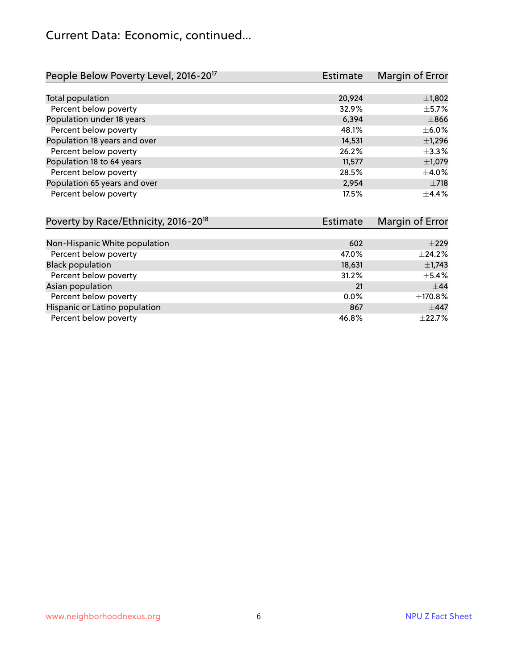## Current Data: Economic, continued...

| People Below Poverty Level, 2016-20 <sup>17</sup> | <b>Estimate</b> | Margin of Error |
|---------------------------------------------------|-----------------|-----------------|
|                                                   |                 |                 |
| Total population                                  | 20,924          | $\pm$ 1,802     |
| Percent below poverty                             | 32.9%           | $\pm$ 5.7%      |
| Population under 18 years                         | 6.394           | $\pm866$        |
| Percent below poverty                             | 48.1%           | $\pm$ 6.0%      |
| Population 18 years and over                      | 14,531          | $\pm$ 1,296     |
| Percent below poverty                             | 26.2%           | ±3.3%           |
| Population 18 to 64 years                         | 11,577          | $\pm$ 1,079     |
| Percent below poverty                             | 28.5%           | $\pm 4.0\%$     |
| Population 65 years and over                      | 2,954           | $\pm 718$       |
| Percent below poverty                             | 17.5%           | $\pm$ 4.4%      |

| Poverty by Race/Ethnicity, 2016-20 <sup>18</sup> | Estimate | Margin of Error |
|--------------------------------------------------|----------|-----------------|
|                                                  |          |                 |
| Non-Hispanic White population                    | 602      | $\pm 229$       |
| Percent below poverty                            | 47.0%    | $\pm$ 24.2%     |
| <b>Black population</b>                          | 18,631   | $\pm$ 1,743     |
| Percent below poverty                            | 31.2%    | $\pm$ 5.4%      |
| Asian population                                 | 21       | $\pm$ 44        |
| Percent below poverty                            | $0.0\%$  | ±170.8%         |
| Hispanic or Latino population                    | 867      | $\pm$ 447       |
| Percent below poverty                            | 46.8%    | $\pm$ 22.7%     |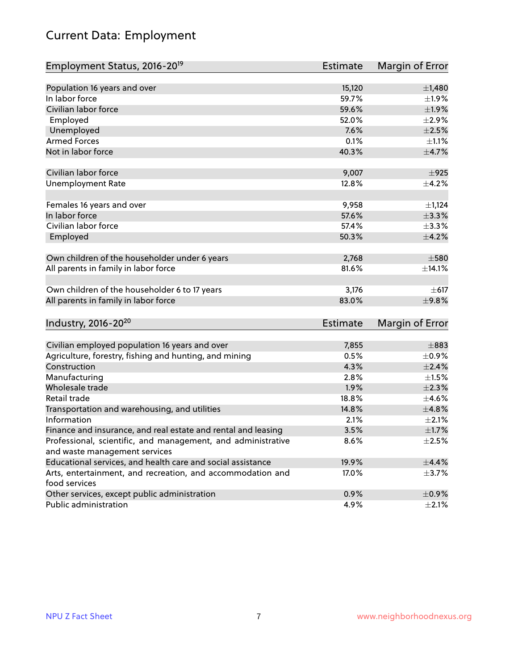## Current Data: Employment

| Employment Status, 2016-20 <sup>19</sup>                      | Estimate        | Margin of Error |
|---------------------------------------------------------------|-----------------|-----------------|
|                                                               |                 |                 |
| Population 16 years and over                                  | 15,120          | $\pm$ 1,480     |
| In labor force                                                | 59.7%           | $\pm 1.9\%$     |
| Civilian labor force                                          | 59.6%           | ±1.9%           |
| Employed                                                      | 52.0%           | $\pm 2.9\%$     |
| Unemployed                                                    | 7.6%            | $\pm 2.5\%$     |
| <b>Armed Forces</b>                                           | 0.1%            | $\pm 1.1\%$     |
| Not in labor force                                            | 40.3%           | $\pm$ 4.7%      |
| Civilian labor force                                          | 9,007           | ±925            |
| <b>Unemployment Rate</b>                                      | 12.8%           | $\pm$ 4.2%      |
|                                                               |                 |                 |
| Females 16 years and over                                     | 9,958           | $\pm$ 1,124     |
| In labor force                                                | 57.6%           | ±3.3%           |
| Civilian labor force                                          | 57.4%           | $\pm$ 3.3%      |
| Employed                                                      | 50.3%           | $\pm 4.2\%$     |
| Own children of the householder under 6 years                 | 2,768           | $\pm$ 580       |
| All parents in family in labor force                          | 81.6%           | ±14.1%          |
|                                                               |                 |                 |
| Own children of the householder 6 to 17 years                 | 3,176           | $\pm$ 617       |
| All parents in family in labor force                          | 83.0%           | ±9.8%           |
|                                                               |                 |                 |
| Industry, 2016-20 <sup>20</sup>                               | <b>Estimate</b> | Margin of Error |
| Civilian employed population 16 years and over                | 7,855           | $\pm$ 883       |
| Agriculture, forestry, fishing and hunting, and mining        | 0.5%            | $\pm$ 0.9%      |
| Construction                                                  | 4.3%            | $\pm 2.4\%$     |
| Manufacturing                                                 | 2.8%            | $\pm 1.5\%$     |
| Wholesale trade                                               | 1.9%            | $\pm 2.3\%$     |
| Retail trade                                                  | 18.8%           | $\pm$ 4.6%      |
| Transportation and warehousing, and utilities                 | 14.8%           | ±4.8%           |
| Information                                                   | 2.1%            | $\pm 2.1\%$     |
| Finance and insurance, and real estate and rental and leasing | 3.5%            | $\pm1.7\%$      |
| Professional, scientific, and management, and administrative  | 8.6%            | $\pm 2.5\%$     |
| and waste management services                                 |                 |                 |
| Educational services, and health care and social assistance   | 19.9%           | ±4.4%           |
| Arts, entertainment, and recreation, and accommodation and    | 17.0%           | $\pm$ 3.7%      |
| food services                                                 |                 |                 |
| Other services, except public administration                  | 0.9%            | $\pm$ 0.9%      |
| Public administration                                         | 4.9%            | $\pm 2.1\%$     |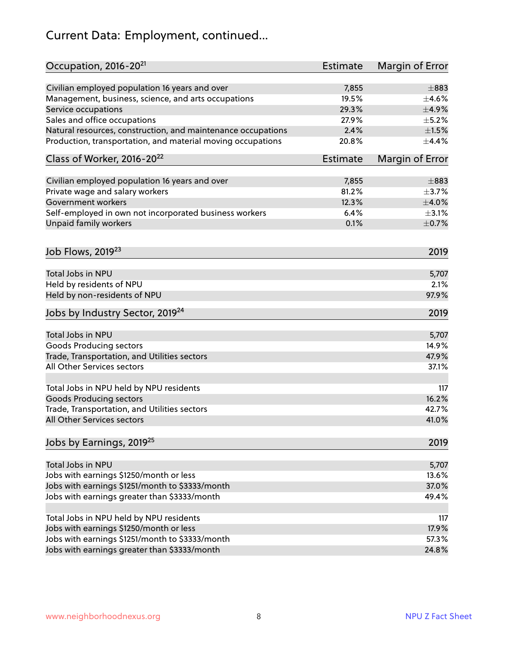## Current Data: Employment, continued...

| Occupation, 2016-20 <sup>21</sup>                                               | Estimate | Margin of Error |
|---------------------------------------------------------------------------------|----------|-----------------|
| Civilian employed population 16 years and over                                  | 7,855    | $\pm$ 883       |
| Management, business, science, and arts occupations                             | 19.5%    | $\pm 4.6\%$     |
| Service occupations                                                             | 29.3%    | $\pm$ 4.9%      |
| Sales and office occupations                                                    | 27.9%    | $\pm$ 5.2%      |
| Natural resources, construction, and maintenance occupations                    | 2.4%     | $\pm1.5\%$      |
| Production, transportation, and material moving occupations                     | 20.8%    | ±4.4%           |
| Class of Worker, 2016-20 <sup>22</sup>                                          | Estimate | Margin of Error |
| Civilian employed population 16 years and over                                  | 7,855    | $\pm$ 883       |
| Private wage and salary workers                                                 | 81.2%    | $\pm$ 3.7%      |
| Government workers                                                              | 12.3%    | $\pm 4.0\%$     |
|                                                                                 | 6.4%     | $\pm$ 3.1%      |
| Self-employed in own not incorporated business workers<br>Unpaid family workers | 0.1%     | $\pm$ 0.7%      |
|                                                                                 |          |                 |
| Job Flows, 2019 <sup>23</sup>                                                   |          | 2019            |
| Total Jobs in NPU                                                               |          | 5,707           |
| Held by residents of NPU                                                        |          | 2.1%            |
| Held by non-residents of NPU                                                    |          | 97.9%           |
| Jobs by Industry Sector, 2019 <sup>24</sup>                                     |          | 2019            |
| Total Jobs in NPU                                                               |          | 5,707           |
| <b>Goods Producing sectors</b>                                                  |          | 14.9%           |
| Trade, Transportation, and Utilities sectors                                    |          | 47.9%           |
| All Other Services sectors                                                      |          | 37.1%           |
|                                                                                 |          |                 |
| Total Jobs in NPU held by NPU residents                                         |          | 117             |
| <b>Goods Producing sectors</b>                                                  |          | 16.2%           |
| Trade, Transportation, and Utilities sectors                                    |          | 42.7%           |
| All Other Services sectors                                                      |          | 41.0%           |
| Jobs by Earnings, 2019 <sup>25</sup>                                            |          | 2019            |
| Total Jobs in NPU                                                               |          | 5,707           |
| Jobs with earnings \$1250/month or less                                         |          | 13.6%           |
| Jobs with earnings \$1251/month to \$3333/month                                 |          | 37.0%           |
| Jobs with earnings greater than \$3333/month                                    |          | 49.4%           |
|                                                                                 |          |                 |
| Total Jobs in NPU held by NPU residents                                         |          | 117             |
| Jobs with earnings \$1250/month or less                                         |          | 17.9%           |
| Jobs with earnings \$1251/month to \$3333/month                                 |          | 57.3%           |
| Jobs with earnings greater than \$3333/month                                    |          | 24.8%           |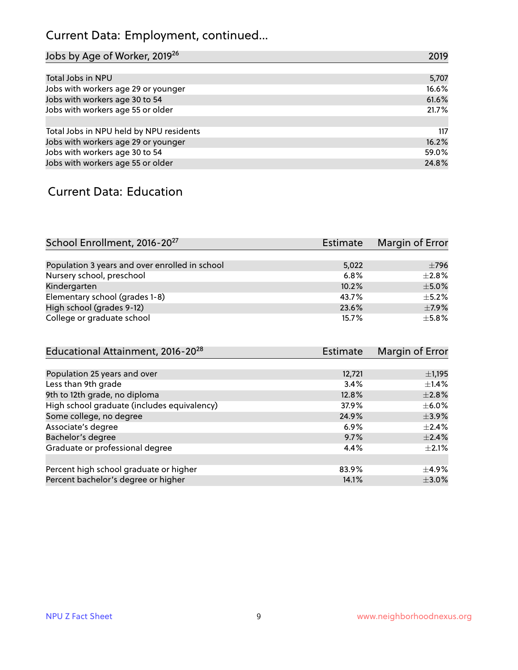## Current Data: Employment, continued...

| Jobs by Age of Worker, 2019 <sup>26</sup> | 2019  |
|-------------------------------------------|-------|
|                                           |       |
| Total Jobs in NPU                         | 5,707 |
| Jobs with workers age 29 or younger       | 16.6% |
| Jobs with workers age 30 to 54            | 61.6% |
| Jobs with workers age 55 or older         | 21.7% |
|                                           |       |
| Total Jobs in NPU held by NPU residents   | 117   |
| Jobs with workers age 29 or younger       | 16.2% |
| Jobs with workers age 30 to 54            | 59.0% |
| Jobs with workers age 55 or older         | 24.8% |

#### Current Data: Education

| School Enrollment, 2016-20 <sup>27</sup>       | Estimate | Margin of Error |
|------------------------------------------------|----------|-----------------|
|                                                |          |                 |
| Population 3 years and over enrolled in school | 5,022    | $\pm$ 796       |
| Nursery school, preschool                      | 6.8%     | $\pm 2.8\%$     |
| Kindergarten                                   | 10.2%    | $\pm$ 5.0%      |
| Elementary school (grades 1-8)                 | 43.7%    | $\pm$ 5.2%      |
| High school (grades 9-12)                      | 23.6%    | $\pm$ 7.9%      |
| College or graduate school                     | 15.7%    | $\pm$ 5.8%      |

| Educational Attainment, 2016-20 <sup>28</sup> | <b>Estimate</b> | Margin of Error |
|-----------------------------------------------|-----------------|-----------------|
|                                               |                 |                 |
| Population 25 years and over                  | 12,721          | $\pm$ 1,195     |
| Less than 9th grade                           | 3.4%            | $\pm$ 1.4%      |
| 9th to 12th grade, no diploma                 | 12.8%           | $\pm 2.8\%$     |
| High school graduate (includes equivalency)   | 37.9%           | $\pm$ 6.0%      |
| Some college, no degree                       | 24.9%           | $\pm$ 3.9%      |
| Associate's degree                            | $6.9\%$         | $\pm$ 2.4%      |
| Bachelor's degree                             | 9.7%            | $\pm$ 2.4%      |
| Graduate or professional degree               | 4.4%            | $\pm 2.1\%$     |
|                                               |                 |                 |
| Percent high school graduate or higher        | 83.9%           | $\pm$ 4.9%      |
| Percent bachelor's degree or higher           | 14.1%           | $\pm$ 3.0%      |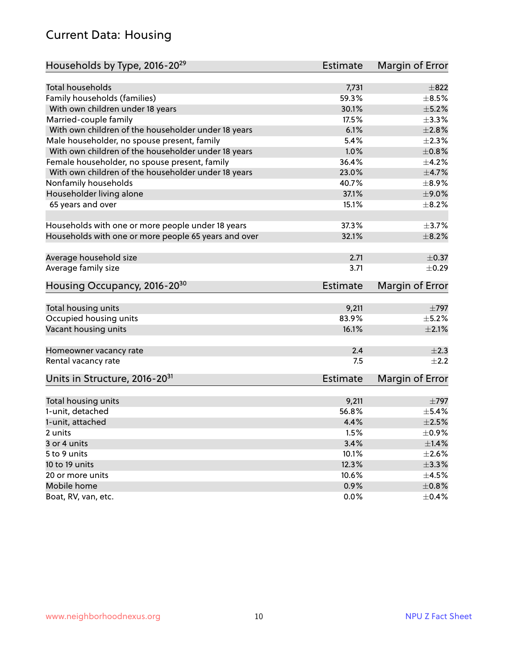#### Current Data: Housing

| Households by Type, 2016-20 <sup>29</sup>            | <b>Estimate</b> | Margin of Error |
|------------------------------------------------------|-----------------|-----------------|
| <b>Total households</b>                              | 7,731           | $\pm$ 822       |
| Family households (families)                         | 59.3%           | $\pm$ 8.5%      |
| With own children under 18 years                     | 30.1%           | $\pm$ 5.2%      |
|                                                      |                 | $\pm$ 3.3%      |
| Married-couple family                                | 17.5%           | $\pm 2.8\%$     |
| With own children of the householder under 18 years  | 6.1%            |                 |
| Male householder, no spouse present, family          | 5.4%            | $\pm 2.3\%$     |
| With own children of the householder under 18 years  | 1.0%            | $\pm 0.8\%$     |
| Female householder, no spouse present, family        | 36.4%           | $\pm$ 4.2%      |
| With own children of the householder under 18 years  | 23.0%           | $\pm$ 4.7%      |
| Nonfamily households                                 | 40.7%           | $\pm$ 8.9%      |
| Householder living alone                             | 37.1%           | $\pm$ 9.0%      |
| 65 years and over                                    | 15.1%           | $\pm$ 8.2%      |
| Households with one or more people under 18 years    | 37.3%           | $\pm$ 3.7%      |
| Households with one or more people 65 years and over | 32.1%           | $\pm$ 8.2%      |
|                                                      |                 |                 |
| Average household size                               | 2.71            | $\pm$ 0.37      |
| Average family size                                  | 3.71            | $\pm$ 0.29      |
| Housing Occupancy, 2016-20 <sup>30</sup>             | <b>Estimate</b> | Margin of Error |
| Total housing units                                  | 9,211           | $\pm$ 797       |
| Occupied housing units                               | 83.9%           | $\pm$ 5.2%      |
| Vacant housing units                                 | 16.1%           | $\pm 2.1\%$     |
|                                                      |                 |                 |
| Homeowner vacancy rate                               | 2.4             | $\pm 2.3$       |
| Rental vacancy rate                                  | 7.5             | $\pm 2.2$       |
| Units in Structure, 2016-20 <sup>31</sup>            | <b>Estimate</b> | Margin of Error |
| Total housing units                                  | 9,211           | $\pm$ 797       |
| 1-unit, detached                                     | 56.8%           | $\pm$ 5.4%      |
| 1-unit, attached                                     | 4.4%            | $\pm 2.5\%$     |
| 2 units                                              | 1.5%            | $\pm$ 0.9%      |
| 3 or 4 units                                         | 3.4%            | $\pm$ 1.4%      |
| 5 to 9 units                                         | 10.1%           | $\pm 2.6\%$     |
|                                                      |                 |                 |
| 10 to 19 units                                       | 12.3%           | $\pm$ 3.3%      |
| 20 or more units                                     | 10.6%           | $\pm 4.5\%$     |
| Mobile home                                          | 0.9%            | $\pm$ 0.8%      |
| Boat, RV, van, etc.                                  | 0.0%            | $\pm$ 0.4%      |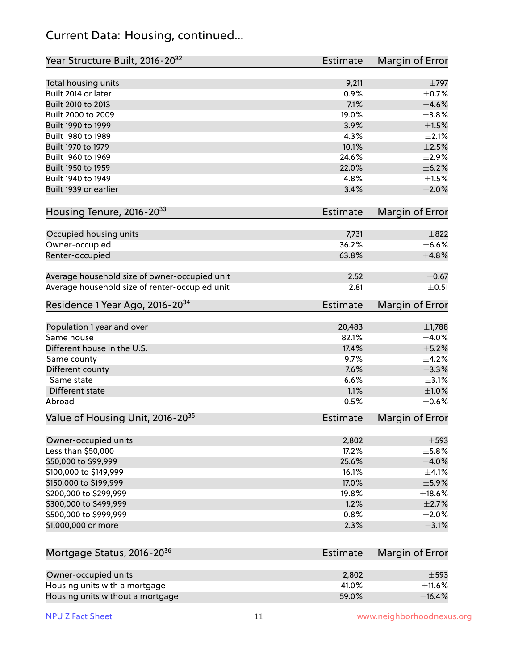#### Current Data: Housing, continued...

| Year Structure Built, 2016-20 <sup>32</sup>    | <b>Estimate</b> | Margin of Error          |
|------------------------------------------------|-----------------|--------------------------|
| Total housing units                            | 9,211           | $\pm 797$                |
| Built 2014 or later                            | 0.9%            | $\pm$ 0.7%               |
| Built 2010 to 2013                             | 7.1%            | $\pm 4.6\%$              |
| Built 2000 to 2009                             | 19.0%           | ±3.8%                    |
| Built 1990 to 1999                             | 3.9%            | $\pm1.5\%$               |
| Built 1980 to 1989                             | 4.3%            | $\pm 2.1\%$              |
| Built 1970 to 1979                             | 10.1%           | $\pm 2.5\%$              |
| Built 1960 to 1969                             | 24.6%           | $\pm 2.9\%$              |
| Built 1950 to 1959                             | 22.0%           | $\pm$ 6.2%               |
| Built 1940 to 1949                             | 4.8%            | $\pm 1.5\%$              |
| Built 1939 or earlier                          | 3.4%            | $\pm 2.0\%$              |
| Housing Tenure, 2016-2033                      | Estimate        | Margin of Error          |
|                                                |                 |                          |
| Occupied housing units                         | 7,731           | $\pm$ 822                |
| Owner-occupied                                 | 36.2%           | $\pm$ 6.6%               |
| Renter-occupied                                | 63.8%           | ±4.8%                    |
| Average household size of owner-occupied unit  | 2.52            | $\pm$ 0.67               |
| Average household size of renter-occupied unit | 2.81            | $\pm$ 0.51               |
| Residence 1 Year Ago, 2016-20 <sup>34</sup>    | <b>Estimate</b> | Margin of Error          |
|                                                |                 |                          |
| Population 1 year and over<br>Same house       | 20,483          | $\pm$ 1,788              |
| Different house in the U.S.                    | 82.1%<br>17.4%  | $\pm$ 4.0%<br>$\pm$ 5.2% |
|                                                | 9.7%            | $\pm$ 4.2%               |
| Same county                                    |                 |                          |
| Different county<br>Same state                 | 7.6%            | ±3.3%                    |
|                                                | 6.6%            | $\pm$ 3.1%               |
| Different state                                | 1.1%            | $\pm1.0\%$               |
| Abroad                                         | 0.5%            | $\pm$ 0.6%               |
| Value of Housing Unit, 2016-20 <sup>35</sup>   | <b>Estimate</b> | Margin of Error          |
| Owner-occupied units                           | 2,802           | $\pm$ 593                |
| Less than \$50,000                             | 17.2%           | $\pm$ 5.8%               |
| \$50,000 to \$99,999                           | 25.6%           | $\pm$ 4.0%               |
| \$100,000 to \$149,999                         | 16.1%           | $\pm 4.1\%$              |
| \$150,000 to \$199,999                         | 17.0%           | $\pm$ 5.9%               |
| \$200,000 to \$299,999                         | 19.8%           | $\pm$ 18.6%              |
| \$300,000 to \$499,999                         | 1.2%            | $\pm 2.7\%$              |
| \$500,000 to \$999,999                         | 0.8%            | $\pm 2.0\%$              |
| \$1,000,000 or more                            | 2.3%            | $\pm$ 3.1%               |
|                                                |                 |                          |
| Mortgage Status, 2016-20 <sup>36</sup>         | <b>Estimate</b> | Margin of Error          |
| Owner-occupied units                           | 2,802           | $\pm$ 593                |
| Housing units with a mortgage                  | 41.0%           | $\pm$ 11.6%              |
| Housing units without a mortgage               | 59.0%           | ±16.4%                   |

Housing units without a mortgage 59.0%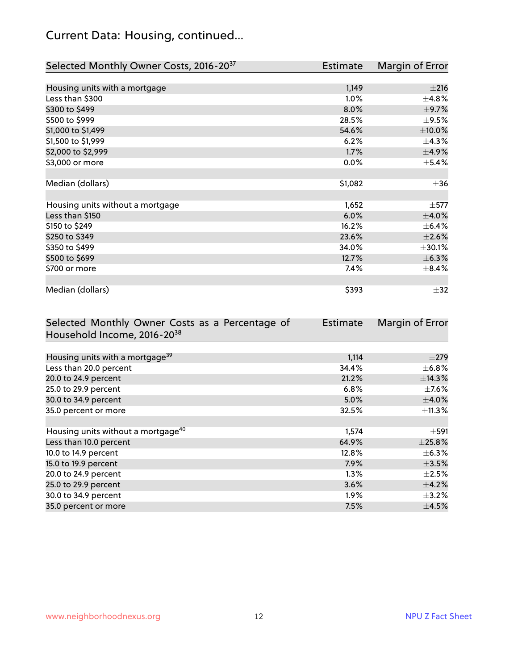## Current Data: Housing, continued...

| Selected Monthly Owner Costs, 2016-20 <sup>37</sup> | Estimate | Margin of Error |
|-----------------------------------------------------|----------|-----------------|
|                                                     |          |                 |
| Housing units with a mortgage                       | 1,149    | ±216            |
| Less than \$300                                     | $1.0\%$  | $\pm$ 4.8%      |
| \$300 to \$499                                      | 8.0%     | $\pm$ 9.7%      |
| \$500 to \$999                                      | 28.5%    | $\pm$ 9.5%      |
| \$1,000 to \$1,499                                  | 54.6%    | $\pm$ 10.0%     |
| \$1,500 to \$1,999                                  | 6.2%     | ±4.3%           |
| \$2,000 to \$2,999                                  | 1.7%     | ±4.9%           |
| \$3,000 or more                                     | 0.0%     | $\pm$ 5.4%      |
|                                                     |          |                 |
| Median (dollars)                                    | \$1,082  | $\pm$ 36        |
|                                                     |          |                 |
| Housing units without a mortgage                    | 1,652    | $\pm$ 577       |
| Less than \$150                                     | 6.0%     | $\pm$ 4.0%      |
| \$150 to \$249                                      | 16.2%    | $\pm$ 6.4%      |
| \$250 to \$349                                      | 23.6%    | $\pm 2.6\%$     |
| \$350 to \$499                                      | 34.0%    | $\pm 30.1\%$    |
| \$500 to \$699                                      | 12.7%    | ±6.3%           |
| \$700 or more                                       | 7.4%     | $\pm$ 8.4%      |
|                                                     |          |                 |
| Median (dollars)                                    | \$393    | $\pm$ 32        |

| Selected Monthly Owner Costs as a Percentage of | Estimate | Margin of Error |
|-------------------------------------------------|----------|-----------------|
| Household Income, 2016-20 <sup>38</sup>         |          |                 |
|                                                 |          |                 |
| Housing units with a mortgage <sup>39</sup>     | 1,114    | $\pm 279$       |
| Less than 20.0 percent                          | 34.4%    | $\pm$ 6.8%      |
| 20.0 to 24.9 percent                            | 21.2%    | ±14.3%          |
| 25.0 to 29.9 percent                            | 6.8%     | $\pm$ 7.6%      |
| 30.0 to 34.9 percent                            | 5.0%     | $\pm$ 4.0%      |
| 35.0 percent or more                            | 32.5%    | $\pm$ 11.3%     |
|                                                 |          |                 |
| Housing units without a mortgage <sup>40</sup>  | 1,574    | $\pm$ 591       |
| Less than 10.0 percent                          | 64.9%    | ±25.8%          |
| 10.0 to 14.9 percent                            | 12.8%    | $\pm$ 6.3%      |
| 15.0 to 19.9 percent                            | 7.9%     | $\pm 3.5\%$     |
| 20.0 to 24.9 percent                            | $1.3\%$  | $\pm 2.5\%$     |
| 25.0 to 29.9 percent                            | 3.6%     | $\pm$ 4.2%      |
| 30.0 to 34.9 percent                            | $1.9\%$  | $\pm$ 3.2%      |
| 35.0 percent or more                            | 7.5%     | $\pm$ 4.5%      |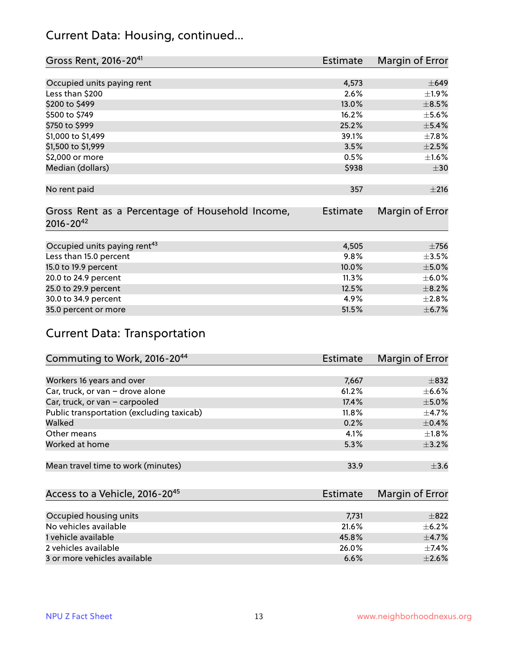#### Current Data: Housing, continued...

| Gross Rent, 2016-20 <sup>41</sup>               | Estimate        | Margin of Error |
|-------------------------------------------------|-----------------|-----------------|
|                                                 |                 |                 |
| Occupied units paying rent                      | 4,573           | $\pm 649$       |
| Less than \$200                                 | 2.6%            | ±1.9%           |
| \$200 to \$499                                  | 13.0%           | $\pm$ 8.5%      |
| \$500 to \$749                                  | 16.2%           | $\pm$ 5.6%      |
| \$750 to \$999                                  | 25.2%           | $\pm$ 5.4%      |
| \$1,000 to \$1,499                              | 39.1%           | $\pm$ 7.8%      |
| \$1,500 to \$1,999                              | 3.5%            | $\pm 2.5\%$     |
| \$2,000 or more                                 | 0.5%            | $\pm 1.6\%$     |
| Median (dollars)                                | \$938           | $\pm$ 30        |
|                                                 |                 |                 |
| No rent paid                                    | 357             | ±216            |
|                                                 |                 |                 |
| Gross Rent as a Percentage of Household Income, | <b>Estimate</b> | Margin of Error |
| $2016 - 20^{42}$                                |                 |                 |
|                                                 |                 |                 |
| Occupied units paying rent <sup>43</sup>        | 4,505           | $\pm 756$       |
| Less than 15.0 percent                          | 9.8%            | $\pm$ 3.5%      |
| 15.0 to 19.9 percent                            | 10.0%           | $\pm$ 5.0%      |
| 20.0 to 24.9 percent                            | 11.3%           | $\pm$ 6.0%      |
| 25.0 to 29.9 percent                            | 12.5%           | $\pm$ 8.2%      |
| 30.0 to 34.9 percent                            | 4.9%            | $\pm 2.8\%$     |
| 35.0 percent or more                            | 51.5%           | $\pm$ 6.7%      |

#### Current Data: Transportation

| Commuting to Work, 2016-20 <sup>44</sup>  | <b>Estimate</b> | Margin of Error |
|-------------------------------------------|-----------------|-----------------|
|                                           |                 |                 |
| Workers 16 years and over                 | 7,667           | $\pm$ 832       |
| Car, truck, or van - drove alone          | 61.2%           | $\pm$ 6.6%      |
| Car, truck, or van - carpooled            | 17.4%           | $\pm$ 5.0%      |
| Public transportation (excluding taxicab) | 11.8%           | $\pm$ 4.7%      |
| Walked                                    | 0.2%            | $\pm$ 0.4%      |
| Other means                               | 4.1%            | $\pm 1.8\%$     |
| Worked at home                            | 5.3%            | $\pm$ 3.2%      |
|                                           |                 |                 |
| Mean travel time to work (minutes)        | 33.9            | $\pm$ 3.6       |

| Access to a Vehicle, 2016-20 <sup>45</sup> | Estimate | Margin of Error |
|--------------------------------------------|----------|-----------------|
|                                            |          |                 |
| Occupied housing units                     | 7,731    | $\pm$ 822       |
| No vehicles available                      | 21.6%    | $+6.2%$         |
| 1 vehicle available                        | 45.8%    | $\pm$ 4.7%      |
| 2 vehicles available                       | 26.0%    | $\pm$ 7.4%      |
| 3 or more vehicles available               | 6.6%     | $+2.6%$         |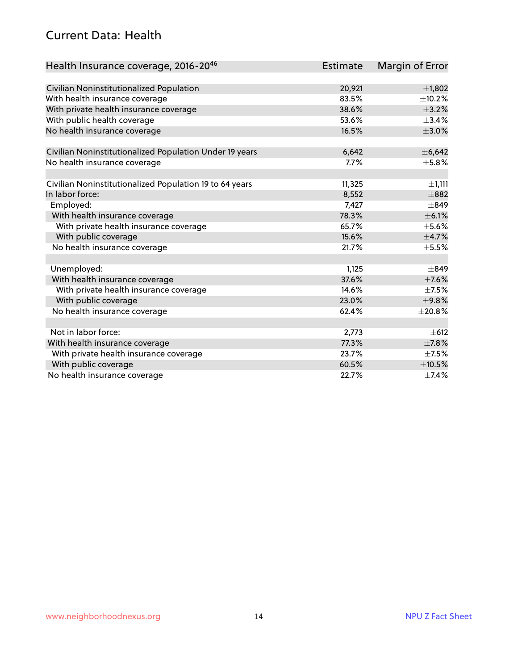#### Current Data: Health

| Health Insurance coverage, 2016-20 <sup>46</sup>        | <b>Estimate</b> | Margin of Error |
|---------------------------------------------------------|-----------------|-----------------|
|                                                         |                 |                 |
| Civilian Noninstitutionalized Population                | 20,921          | $\pm$ 1,802     |
| With health insurance coverage                          | 83.5%           | $\pm$ 10.2%     |
| With private health insurance coverage                  | 38.6%           | $\pm$ 3.2%      |
| With public health coverage                             | 53.6%           | ±3.4%           |
| No health insurance coverage                            | 16.5%           | $\pm 3.0\%$     |
| Civilian Noninstitutionalized Population Under 19 years | 6,642           | ±6,642          |
| No health insurance coverage                            | 7.7%            | $\pm$ 5.8%      |
|                                                         |                 |                 |
| Civilian Noninstitutionalized Population 19 to 64 years | 11,325          | ±1,111          |
| In labor force:                                         | 8,552           | $\pm$ 882       |
| Employed:                                               | 7,427           | $\pm$ 849       |
| With health insurance coverage                          | 78.3%           | $\pm$ 6.1%      |
| With private health insurance coverage                  | 65.7%           | $\pm$ 5.6%      |
| With public coverage                                    | 15.6%           | $\pm$ 4.7%      |
| No health insurance coverage                            | 21.7%           | $\pm$ 5.5%      |
|                                                         |                 |                 |
| Unemployed:                                             | 1,125           | $\pm$ 849       |
| With health insurance coverage                          | 37.6%           | $\pm$ 7.6%      |
| With private health insurance coverage                  | 14.6%           | $\pm$ 7.5%      |
| With public coverage                                    | 23.0%           | ±9.8%           |
| No health insurance coverage                            | 62.4%           | ±20.8%          |
|                                                         |                 |                 |
| Not in labor force:                                     | 2,773           | $\pm 612$       |
| With health insurance coverage                          | 77.3%           | $\pm$ 7.8%      |
| With private health insurance coverage                  | 23.7%           | $\pm$ 7.5%      |
| With public coverage                                    | 60.5%           | $\pm$ 10.5%     |
| No health insurance coverage                            | 22.7%           | $\pm$ 7.4%      |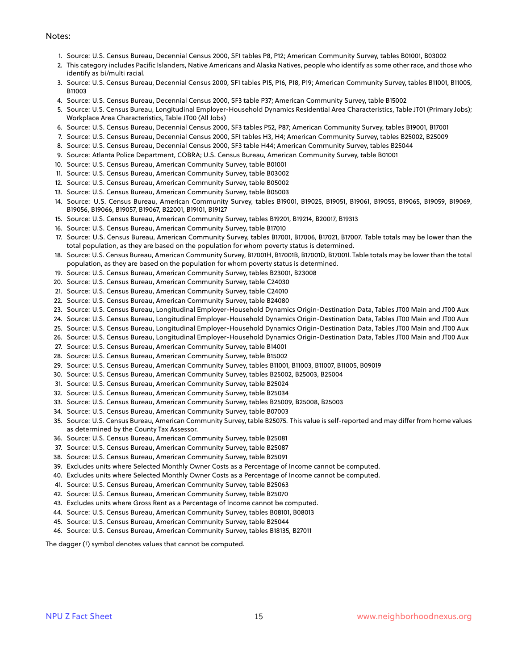#### Notes:

- 1. Source: U.S. Census Bureau, Decennial Census 2000, SF1 tables P8, P12; American Community Survey, tables B01001, B03002
- 2. This category includes Pacific Islanders, Native Americans and Alaska Natives, people who identify as some other race, and those who identify as bi/multi racial.
- 3. Source: U.S. Census Bureau, Decennial Census 2000, SF1 tables P15, P16, P18, P19; American Community Survey, tables B11001, B11005, B11003
- 4. Source: U.S. Census Bureau, Decennial Census 2000, SF3 table P37; American Community Survey, table B15002
- 5. Source: U.S. Census Bureau, Longitudinal Employer-Household Dynamics Residential Area Characteristics, Table JT01 (Primary Jobs); Workplace Area Characteristics, Table JT00 (All Jobs)
- 6. Source: U.S. Census Bureau, Decennial Census 2000, SF3 tables P52, P87; American Community Survey, tables B19001, B17001
- 7. Source: U.S. Census Bureau, Decennial Census 2000, SF1 tables H3, H4; American Community Survey, tables B25002, B25009
- 8. Source: U.S. Census Bureau, Decennial Census 2000, SF3 table H44; American Community Survey, tables B25044
- 9. Source: Atlanta Police Department, COBRA; U.S. Census Bureau, American Community Survey, table B01001
- 10. Source: U.S. Census Bureau, American Community Survey, table B01001
- 11. Source: U.S. Census Bureau, American Community Survey, table B03002
- 12. Source: U.S. Census Bureau, American Community Survey, table B05002
- 13. Source: U.S. Census Bureau, American Community Survey, table B05003
- 14. Source: U.S. Census Bureau, American Community Survey, tables B19001, B19025, B19051, B19061, B19055, B19065, B19059, B19069, B19056, B19066, B19057, B19067, B22001, B19101, B19127
- 15. Source: U.S. Census Bureau, American Community Survey, tables B19201, B19214, B20017, B19313
- 16. Source: U.S. Census Bureau, American Community Survey, table B17010
- 17. Source: U.S. Census Bureau, American Community Survey, tables B17001, B17006, B17021, B17007. Table totals may be lower than the total population, as they are based on the population for whom poverty status is determined.
- 18. Source: U.S. Census Bureau, American Community Survey, B17001H, B17001B, B17001D, B17001I. Table totals may be lower than the total population, as they are based on the population for whom poverty status is determined.
- 19. Source: U.S. Census Bureau, American Community Survey, tables B23001, B23008
- 20. Source: U.S. Census Bureau, American Community Survey, table C24030
- 21. Source: U.S. Census Bureau, American Community Survey, table C24010
- 22. Source: U.S. Census Bureau, American Community Survey, table B24080
- 23. Source: U.S. Census Bureau, Longitudinal Employer-Household Dynamics Origin-Destination Data, Tables JT00 Main and JT00 Aux
- 24. Source: U.S. Census Bureau, Longitudinal Employer-Household Dynamics Origin-Destination Data, Tables JT00 Main and JT00 Aux
- 25. Source: U.S. Census Bureau, Longitudinal Employer-Household Dynamics Origin-Destination Data, Tables JT00 Main and JT00 Aux
- 26. Source: U.S. Census Bureau, Longitudinal Employer-Household Dynamics Origin-Destination Data, Tables JT00 Main and JT00 Aux
- 27. Source: U.S. Census Bureau, American Community Survey, table B14001
- 28. Source: U.S. Census Bureau, American Community Survey, table B15002
- 29. Source: U.S. Census Bureau, American Community Survey, tables B11001, B11003, B11007, B11005, B09019
- 30. Source: U.S. Census Bureau, American Community Survey, tables B25002, B25003, B25004
- 31. Source: U.S. Census Bureau, American Community Survey, table B25024
- 32. Source: U.S. Census Bureau, American Community Survey, table B25034
- 33. Source: U.S. Census Bureau, American Community Survey, tables B25009, B25008, B25003
- 34. Source: U.S. Census Bureau, American Community Survey, table B07003
- 35. Source: U.S. Census Bureau, American Community Survey, table B25075. This value is self-reported and may differ from home values as determined by the County Tax Assessor.
- 36. Source: U.S. Census Bureau, American Community Survey, table B25081
- 37. Source: U.S. Census Bureau, American Community Survey, table B25087
- 38. Source: U.S. Census Bureau, American Community Survey, table B25091
- 39. Excludes units where Selected Monthly Owner Costs as a Percentage of Income cannot be computed.
- 40. Excludes units where Selected Monthly Owner Costs as a Percentage of Income cannot be computed.
- 41. Source: U.S. Census Bureau, American Community Survey, table B25063
- 42. Source: U.S. Census Bureau, American Community Survey, table B25070
- 43. Excludes units where Gross Rent as a Percentage of Income cannot be computed.
- 44. Source: U.S. Census Bureau, American Community Survey, tables B08101, B08013
- 45. Source: U.S. Census Bureau, American Community Survey, table B25044
- 46. Source: U.S. Census Bureau, American Community Survey, tables B18135, B27011

The dagger (†) symbol denotes values that cannot be computed.